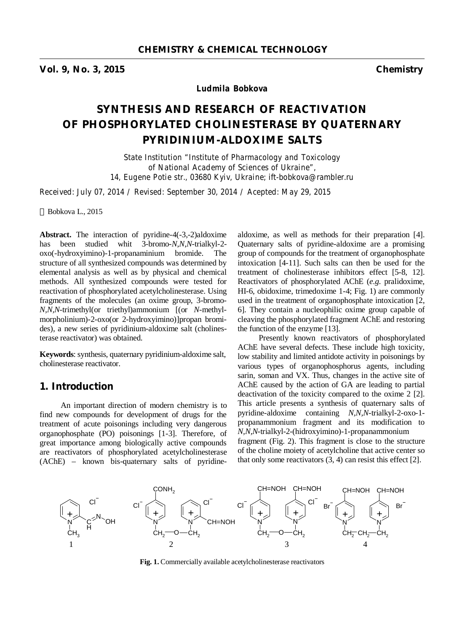**Vol. 9, No. 3, 2015 Chemistry** 

*Ludmila Bobkova* 

# **SYNTHESIS AND RESEARCH OF REACTIVATION OF PHOSPHORYLATED CHOLINESTERASE BY QUATERNARY PYRIDINIUM-ALDOXIME SALTS**

*State Institution "Institute of Pharmacology and Toxicology of National Academy of Sciences of Ukraine", 14, Eugene Potie str., 03680 Kyiv, Ukraine; ift-bobkova@rambler.ru* 

*Received: July 07, 2014 / Revised: September 30, 2014 / Acepted: May 29, 2015* 

Bobkova L., 2015

**Abstract.** The interaction of pyridine-4(-3,-2)aldoxime has been studied whit 3-bromo-*N*,*N*,*N*-trialkyl-2 oxo(-hydroxyimino)-1-propanaminium bromide. The structure of all synthesized compounds was determined by elemental analysis as well as by physical and chemical methods. All synthesized compounds were tested for reactivation of phosphorylated acetylcholinesterase. Using fragments of the molecules (an oxime group, 3-bromo-*N,N,N*-trimethyl(or triethyl)ammonium [(or *N*-methylmorpholinium)-2-oxo(or 2-hydroxyimino)]propan bromides), a new series of pyridinium-aldoxime salt (cholinesterase reactivator) was obtained.

**Keywords**: synthesis, quaternary pyridinium-aldoxime salt, cholinesterase reactivator.

# **1. Introduction**

An important direction of modern chemistry is to find new compounds for development of drugs for the treatment of acute poisonings including very dangerous organophosphate (PO) poisonings [1-3]. Therefore, of great importance among biologically active compounds are reactivators of phosphorylated acetylcholinesterase (AChE) – known bis-quaternary salts of pyridinealdoxime, as well as methods for their preparation [4]. Quaternary salts of pyridine-aldoxime are a promising group of compounds for the treatment of organophosphate intoxication [4-11]. Such salts can then be used for the treatment of cholinesterase inhibitors effect [5-8, 12]. Reactivators of phosphorylated AChE (*e.g*. pralidoxime, HI-6, obidoxime, trimedoxime 1-4; Fig. 1) are commonly used in the treatment of organophosphate intoxication [2, 6]. They contain a nucleophilic oxime group capable of cleaving the phosphorylated fragment AChE and restoring the function of the enzyme [13].

Presently known reactivators of phosphorylated AChE have several defects. These include high toxicity, low stability and limited antidote activity in poisonings by various types of organophosphorus agents, including sarin, soman and VX. Thus, changes in the active site of AChE caused by the action of GA are leading to partial deactivation of the toxicity compared to the oxime 2 [2]. This article presents a synthesis of quaternary salts of pyridine-aldoxime containing *N,N,N*-trialkyl-2-oxo-1 propanammonium fragment and its modification to *N,N,N*-trialkyl-2-(hidroxyimino)-1-propanammonium fragment (Fig. 2). This fragment is close to the structure of the choline moiety of acetylcholine that active center so that only some reactivators  $(3, 4)$  can resist this effect  $[2]$ .



**Fig. 1.** Commercially available acetylcholinesterase reactivators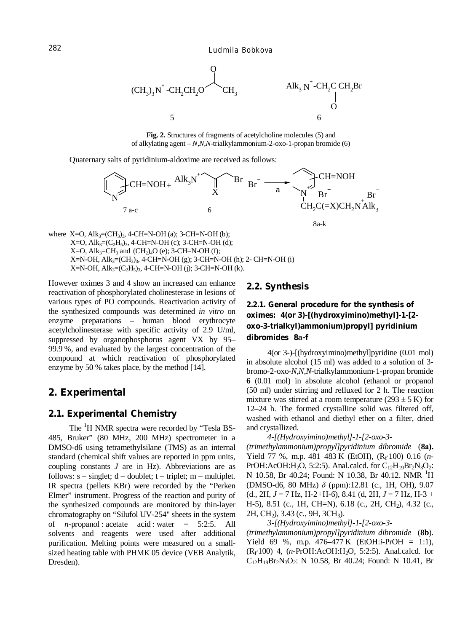

Fig. 2. Structures of fragments of acetylcholine molecules (5) and of alkylating agent  $-N,N$ -trialkylammonium-2-oxo-1-propan bromide (6)

Quaternary salts of pyridinium-aldoxime are received as follows:



8a-k

where X=O, Alk<sub>3</sub>=(CH<sub>3</sub>)<sub>3</sub>, 4-CH=N-OH (a); 3-CH=N-OH (b); X=O, Alk<sub>3</sub>=( $C_2H_5$ )<sub>3</sub>, 4-CH=N-OH (c); 3-CH=N-OH (d); X=O, Alk<sub>3</sub>=CH<sub>3</sub> and (CH<sub>2</sub>)<sub>4</sub>O (e); 3-CH=N-OH (f); X=N-OH, Alk<sub>3</sub>=(CH<sub>3</sub>)<sub>3</sub>, 4-CH=N-OH (g); 3-CH=N-OH (h); 2- CH=N-OH (i) X=N-OH, Alk<sub>3</sub>=( $C_2H_5$ )<sub>3</sub>, 4-CH=N-OH (j); 3-CH=N-OH (k).

However oximes 3 and 4 show an increased can enhance reactivation of phosphorylated cholinesterase in lesions of various types of PO compounds. Reactivation activity of the synthesized compounds was determined in vitro on enzyme preparations - human blood erythrocyte acetylcholinesterase with specific activity of 2.9 U/ml, suppressed by organophosphorus agent VX by 95-99.9%, and evaluated by the largest concentration of the compound at which reactivation of phosphorylated enzyme by 50 % takes place, by the method [14].

# 2. Experimental

## 2.1. Experimental Chemistry

The <sup>1</sup>H NMR spectra were recorded by "Tesla BS-485, Bruker" (80 MHz, 200 MHz) spectrometer in a DMSO-d6 using tetramethylsilane (TMS) as an internal standard (chemical shift values are reported in ppm units. coupling constants  $J$  are in Hz). Abbreviations are as follows:  $s$  – singlet;  $d$  – doublet;  $t$  – triplet;  $m$  – multiplet. IR spectra (pellets KBr) were recorded by the "Perken Elmer" instrument. Progress of the reaction and purity of the synthesized compounds are monitored by thin-layer chromatography on "Silufol UV-254" sheets in the system of *n*-propanol: acetate acid: water =  $5:2:5$ . All solvents and reagents were used after additional purification. Melting points were measured on a smallsized heating table with PHMK 05 device (VEB Analytik, Dresden).

### 2.2. Synthesis

2.2.1. General procedure for the synthesis of oximes: 4(or 3)-[(hydroxyimino)methyl]-1-[2oxo-3-trialkyl)ammonium)propyl] pyridinium dibromides 8a-f

4(or 3-)-[(hydroxyimino)methyl]pyridine (0.01 mol) in absolute alcohol (15 ml) was added to a solution of 3bromo-2-oxo-N,N,N-trialkylammonium-1-propan bromide 6 (0.01 mol) in absolute alcohol (ethanol or propanol (50 ml) under stirring and refluxed for 2 h. The reaction mixture was stirred at a room temperature  $(293 \pm 5 \text{ K})$  for 12–24 h. The formed crystalline solid was filtered off, washed with ethanol and diethyl ether on a filter, dried and crystallized.

#### 4-[(Hydroxyimino)methyl]-1-[2-oxo-3-

(trimethylammonium)propyl]pyridinium dibromide (8a). Yield 77 %, m.p. 481–483 K (EtOH),  $(R_f 100)$  0.16  $(n-$ PrOH:AcOH:H<sub>2</sub>O, 5:2:5). Anal.calcd. for  $C_{12}H_{19}Br_2N_3O_2$ : N 10.58, Br 40.24; Found: N 10.38, Br 40.12. NMR <sup>1</sup>H (DMSO-d6, 80 MHz)  $\delta$  (ppm):12.81 (c., 1H, OH), 9.07 (d., 2H,  $J = 7$  Hz, H-2+H-6), 8.41 (d, 2H,  $J = 7$  Hz, H-3 + H-5), 8.51 (c., 1H, CH=N), 6.18 (c., 2H, CH<sub>2</sub>), 4.32 (c., 2H, CH<sub>2</sub>), 3.43 (c., 9H, 3CH<sub>3</sub>).

#### 3-[(Hydroxyimino)methyl]-1-[2-oxo-3-

 $(trimethylammonium) propylJpyridinium dibromide$  (8b). Yield 69 %, m.p.  $476-477$  K (EtOH:*i*-PrOH = 1:1),  $(R_f 100)$  4,  $(n-PfOH:AcOH:H_2O, 5:2:5)$ . Anal.calcd. for  $C_{12}H_{19}Br_2N_3O_2$ : N 10.58, Br 40.24; Found: N 10.41, Br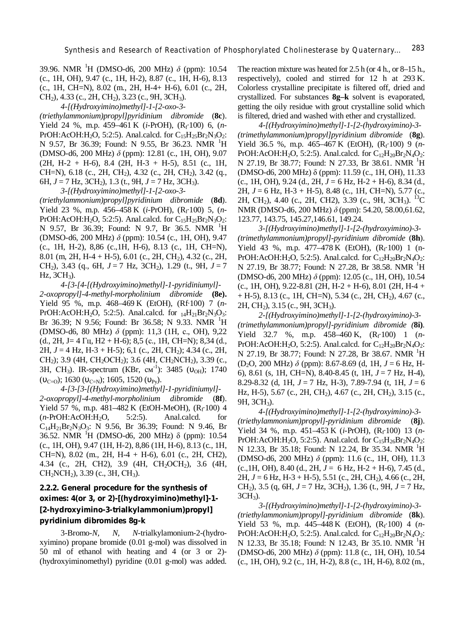39.96. NMR <sup>1</sup>H (DMSO-d6, 200 MHz) *δ* (ppm): 10.54 (c., 1Н, ОН), 9.47 (c., 1H, H-2), 8.87 (c., 1H, H-6), 8.13 (c., 1Н, CH=N), 8.02 (m., 2H, H-4+ H-6), 6.01 (c., 2Н, СН<sub>2</sub>), 4.33 (с., 2Н, СН<sub>2</sub>), 3.23 (с., 9Н, 3СН<sub>3</sub>).

*4-[(Hydroxyimino)methyl]-1-[2-oxo-3-*

*(triethylammonium)propyl]pyridinium dibromide* (**8c**). Yield 24 %, m.p. 459–461 K (*i*-PrOH), (R<sup>f</sup> ∙100) 6, (*n*-PrOH:AcOH:H<sub>2</sub>O, 5:2:5). Anal.calcd. for C<sub>15</sub>H<sub>25</sub>Br<sub>2</sub>N<sub>3</sub>O<sub>2</sub>: N 9.57, Br 36.39; Found: N 9.55, Br 36.23. NMR <sup>1</sup>H (DMSO-d6, 200 MHz) *δ* (ppm): 12.81 (c., 1H, OH), 9.07  $(2H, H-2 + H-6), 8.4 (2H, H-3 + H-5), 8.51 (c., 1H,$ CH=N),  $6.18$  (c.,  $2H$ , CH<sub>2</sub>),  $4.32$  (c.,  $2H$ , CH<sub>2</sub>),  $3.42$  (q., 6Н, *J* = 7 Hz, 3CH<sub>2</sub>), 1.3 (t., 9Н, *J* = 7 Hz, 3CH<sub>3</sub>).

*3-[(Hydroxyimino)methyl]-1-[2-oxo-3-*

*(triethylammonium)propyl]pyridinium dibromide* (**8d**). Yield 23 %, m.p. 456–458 K (*i*-PrOH), (R<sup>f</sup> ∙100) 5, (*n*-PrOH:AcOH:H<sub>2</sub>O, 5:2:5). Anal.calcd. for  $C_{15}H_{25}Br_2N_3O_2$ : N 9.57, Br 36.39; Found: N 9.7, Br 36.5. NMR <sup>1</sup>H (DMSO-d6, 200 MHz) *δ* (ppm): 10.54 (c., 1Н, ОН), 9.47 (c., 1Н, Н-2), 8,86 (c.,1Н, Н-6), 8.13 (c., 1Н, СН=N), 8.01 (m, 2H, H-4 + H-5), 6.01 (c., 2H, CH<sub>2</sub>), 4.32 (c., 2H, СН2), 3.43 (q., 6Н, *J* = 7 Hz, 3СН2), 1.29 (t., 9Н, *J* = 7 Hz, 3СН3).

*4-[3-[4-[(Hydroxyimino)methyl]-1-pyridiniumyl]- 2-oxopropyl]-4-methyl-morpholinium dibromide* **(8e).**  Yield 95 %, m.p. 468–469 K (EtOH), (Rf∙100) 7 (*n*-PrOH:AcOH:H<sub>2</sub>O, 5:2:5). Anal.calcd. for  $_{14}H_{21}Br_2N_3O_3$ : Br 36.39; N 9.56; Found: Br 36.58; N 9.33. NMR  $^1$ H (DMSO-d6, 80 MHz) *δ* (ppm): 11,3 (1Н, с., ОН), 9,22 (d., 2H, J = 4  $\Gamma$ <sub>H</sub>, H<sub>2</sub> + H<sub>-</sub>6); 8,5 (c., 1H, CH=N); 8,34 (d., 2Н, *J* = 4 Hz, Н-3 + H-5); 6,1 (c., 2Н, СН2); 4.34 (c., 2Н, СН<sub>2</sub>); 3.9 (4Н, СН<sub>2</sub>ОСН<sub>2</sub>); 3.6 (4Н, СН<sub>2</sub>NCH<sub>2</sub>), 3.39 (с., 3H, CH<sub>3</sub>). IR-spectrum (KBr, cm<sup>-1</sup>): 3485 ( $v_{OH}$ ); 1740  $(v_{C=0}); 1630 (v_{C=N}); 1605, 1520 (v_{Pv}).$ 

*4-[3-[3-[(Hydroxyimino)methyl]-1-pyridiniumyl]- 2-oxopropyl]-4-methyl-morpholinium dibromide* (**8f**). Yield 57 %, m.p. 481–482 K (EtOH-MeOH), (Rf 100) 4 (*n*-PrOH:AcOH:H2O, 5:2:5). Anal.calcd. for C14H21Br2N3O3: N 9.56, Br 36.39; Found: N 9.46, Br 36.52. NMR <sup>1</sup>H (DMSO-d6, 200 MHz)  $\delta$  (ppm): 10.54 (c., 1Н, ОН), 9.47 (1Н, Н-2), 8,86 (1Н, Н-6), 8.13 (c., 1Н, СН=N), 8.02 (m., 2Н, Н-4 + Н-6), 6.01 (c., 2Н, СН2), 4.34 (c., 2Н, СН2), 3.9 (4Н, СН2ОСН2), 3.6 (4Н,  $CH<sub>2</sub>NCH<sub>2</sub>$ ), 3.39 (c., 3H, CH<sub>3</sub>).

# **2.2.2. General procedure for the synthesis of oximes: 4(or 3, or 2)-[(hydroxyimino)methyl]-1- [2-hydroxyimino-3-trialkylammonium)propyl] pyridinium dibromides 8g-k**

3-Bromo-*N, N, N*-trialkylamonium-2-(hydroxyimino) propane bromide (0.01 g-mol) was dissolved in 50 ml of ethanol with heating and 4 (or 3 or 2)- (hydroxyiminomethyl) pyridine (0.01 g-mol) was added.

The reaction mixture was heated for 2.5 h (or 4 h., or 8–15 h., respectively), cooled and stirred for 12 h at 293 K. Colorless crystalline precipitate is filtered off, dried and crystallized. For substances **8g–k** solvent is evaporated, getting the oily residue with grout crystalline solid which is filtered, dried and washed with ether and crystallized.

*4-[(Hydroxyimino)methyl]-1-[2-(hydroxyimino)-3- (trimethylammonium)propyl]pyridinium dibromide* (**8g**). Yield 36.5 %, m.p. 465–467 K (EtOH), (R<sup>f</sup> ∙100) 9 (*n*-PrOH:AcOH:H<sub>2</sub>O, 5:2:5). Anal.calcd. for  $C_{12}H_{20}Br_2N_4O_2$ : N 27.19, Br 38.77; Found: N 27.33, Br 38.61. NMR <sup>1</sup>H (DMSO-d6, 200 MHz) δ (ppm): 11.59 (c., 1H, OH), 11.33 (c., 1H, OH), 9.24 (d., 2H, *J* = 6 Hz, H-2 + H-6), 8.34 (d., 2H, *J* = 6 Hz, Н-3 + H-5), 8.48 (c., 1Н, СН=N), 5.77 (c., 2H, CH<sub>2</sub>), 4.40 (c., 2H, CH2), 3.39 (c., 9H, 3CH<sub>3</sub>). <sup>13</sup>C NMR (DMSO-d6, 200 MHz) *δ* (ppm): 54.20, 58.00,61.62, 123.77, 143.75, 145.27,146.61, 149.24.

*3-[(Hydroxyimino)methyl]-1-[2-(hydroxyimino)-3- (trimethylammonium)propyl]-pyridinium dibromide* (**8h**). Yield 43 %, m.p. 477–478 K (EtOH), (Rf 100) 1 (n-PrOH:AcOH:H<sub>2</sub>O, 5:2:5). Anal.calcd. for  $C_{12}H_{20}Br_2N_4O_2$ : N 27.19, Br 38.77; Found: N 27.28, Br 38.58. NMR <sup>1</sup>H (DMSO-d6, 200 MHz) *δ* (ppm): 12.05 (c., 1H, OH), 10.54  $(c., 1H, OH), 9.22-8.81 (2H, H-2 + H-6), 8.01 (2H, H-4 +$  $+$  H-5), 8.13 (c., 1H, CH=N), 5.34 (c., 2H, CH<sub>2</sub>), 4.67 (c., 2Н, СН<sub>2</sub>), 3.15 (с., 9Н, 3СН<sub>3</sub>).

*2-[(Hydroxyimino)methyl]-1-[2-(hydroxyimino)-3- (trimethylammonium)propyl]-pyridinium dibromide (***8i)***.*  Yield 32.7 %, m.p. 458–460 K, (R<sup>f</sup> ∙100) 1 (*n*-PrOH:AcOH:H<sub>2</sub>O, 5:2:5). Anal.calcd. for  $C_{12}H_{20}Br_2N_4O_2$ : N 27.19, Br 38.77; Found: N 27.28, Br 38.67. NMR <sup>1</sup>H (D2O, 200 MHz) *δ* (ppm): 8.67-8.69 (d, 1H, *J* = 6 Hz, H-6), 8.61 (s, 1H, CH=N), 8.40-8.45 (t, 1H, *J* = 7 Hz, H-4), 8.29-8.32 (d, 1H, *J* = 7 Hz, H-3), 7.89-7.94 (t, 1H, *J* = 6 Hz, H-5), 5.67 (c., 2Н, СН2), 4.67 (c., 2Н, СН2), 3.15 (c., 9Н, 3СН3).

*4-[(Hydroxyimino)methyl]-1-[2-(hydroxyimino)-3- (triethylammonium)propyl]-pyridinium dibromide* (**8j**). Yield 34 %, m.p. 451–453 K (*i*-PrOH), (R<sup>f</sup> ∙100) 13 (*n*- $PrOH:AcOH:H_2O$ , 5:2:5). Anal.calcd. for  $C_{15}H_{26}Br_2N_4O_2$ : N 12.33, Br 35.18; Found: N 12.24, Br 35.34. NMR <sup>1</sup>H (DMSO-d6, 200 MHz) *δ* (ppm): 11.6 (c., 1H, OH), 11.3  $(c., 1H, OH), 8.40 (d., 2H, J = 6 Hz, H-2 + H-6), 7.45 (d.,$ 2H, *J* = 6 Hz, H-3 + H-5), 5.51 (c., 2H, CH2), 4.66 (c., 2H, CH2), 3.5 (q, 6H, *J* = 7 Hz, 3CH2), 1.36 (t., 9H, *J* = 7 Hz,  $3CH<sub>3</sub>$ ).

*3-[(Hydroxyimino)methyl]-1-[2-(hydroxyimino)-3- (triethylammonium)propyl]-pyridinium dibromide* (**8k**). Yield 53 %, m.p. 445–448 K (EtOH), (R<sup>f</sup> ∙100) 4 (*n*-PrOH:AcOH:H<sub>2</sub>O, 5:2:5). Anal.calcd. for  $C_{12}H_{20}Br_2N_4O_2$ : N 12.33, Br 35.18; Found: N 12.43, Br 35.10. NMR <sup>1</sup>H (DMSO-d6, 200 MHz) *δ* (ppm): 11.8 (c., 1H, OH), 10.54 (c., 1H, OH), 9.2 (c., 1H, H-2), 8.8 (c., 1H, H-6), 8.02 (m.,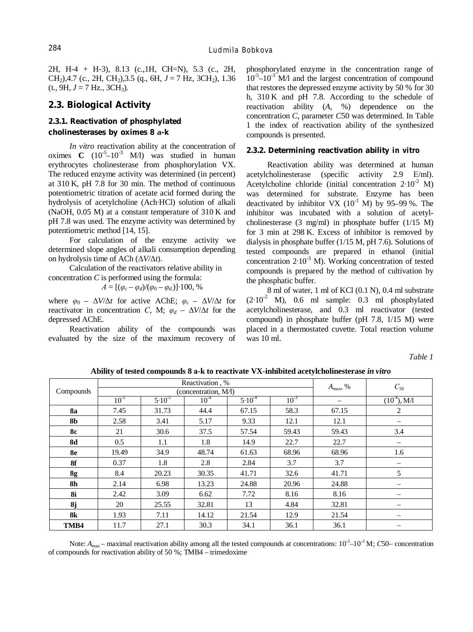2H, H-4 + H-3), 8.13 (c.,1H, CH=N), 5.3 (c., 2H, CH<sub>2</sub>), 4.7 (c., 2H, CH<sub>2</sub>), 3.5 (q., 6H,  $J = 7$  Hz, 3CH<sub>2</sub>), 1.36  $(t., 9H, J = 7 Hz., 3CH<sub>3</sub>).$ 

# **2.3. Biological Activity**

# **2.3.1. Reactivation of phosphylated cholinesterases by oximes 8 а-k**

*In vitro* reactivation ability at the concentration of oximes  $C \left(10^{-5} - 10^{-3} \right)$  M/l) was studied in human erythrocytes cholinesterase from phosphorylation VX. The reduced enzyme activity was determined (in percent) at 310 K, pH 7.8 for 30 min. The method of continuous potentiometric titration of acetate acid formed during the hydrolysis of acetylcholine (Ach∙HCl) solution of alkali (NaOH, 0.05 M) at a constant temperature of 310 K and pH 7.8 was used. The enzyme activity was determined by potentiometric method [14, 15].

For calculation of the enzyme activity we determined slope angles of alkali consumption depending on hydrolysis time of ACh (Δ*V*/Δ*t*).

Calculation of the reactivators relative ability in concentration *C* is performed using the formula:

$$
A = [(\varphi_c - \varphi_d)/(\varphi_0 - \varphi_d)] \cdot 100, \, \%
$$

where  $\varphi_0 - \Delta V/\Delta t$  for active AChE;  $\varphi_c - \Delta V/\Delta t$  for reactivator in concentration *C*, M;  $\varphi_d - \Delta V/\Delta t$  for the depressed АChE.

Reactivation ability of the compounds was evaluated by the size of the maximum recovery of phosphorylated enzyme in the concentration range of  $10^{-5}$  $-10^{-3}$  M/l and the largest concentration of compound that restores the depressed enzyme activity by 50 % for 30 h, 310 K and pH 7.8. According to the schedule of reactivation ability (*A*, %) dependence on the concentration *C*, parameter *C*50 was determined. In Table 1 the index of reactivation ability of the synthesized compounds is presented.

#### **2.3.2. Determining reactivation ability** *in vitro*

Reactivation ability was determined at human acetylcholinesterase (specific activity 2.9 Е/ml). Acetylcholine chloride (initial concentration  $2·10^{-2}$  M) was determined for substrate. Enzyme has been deactivated by inhibitor VX  $(10^{-1}$  M) by 95–99%. The inhibitor was incubated with a solution of acetylcholinesterase (3 mg/ml) in phosphate buffer (1/15 M) for 3 min at 298 K. Excess of inhibitor is removed by dialysis in phosphate buffer (1/15 M, pH 7.6). Solutions of tested compounds are prepared in ethanol (initial concentration 2∙10-3 М). Working concentration of tested compounds is prepared by the method of cultivation by the phosphatic buffer.

8 ml of water, 1 ml of KCl (0.1 N), 0.4 ml substrate  $(2·10<sup>-2</sup>)$  M), 0.6 ml sample: 0.3 ml phosphylated acetylcholinesterase, and 0.3 ml reactivator (tested compound) in phosphate buffer (pH 7.8, 1/15 M) were placed in a thermostated cuvette. Total reaction volume was 10 ml.

*Таble 1* 

|           | Reactivation, %      |             |           |            |           | $A_{\text{max}}$ , % | $C_{50}$                 |
|-----------|----------------------|-------------|-----------|------------|-----------|----------------------|--------------------------|
| Compounds | (concentration, M/l) |             |           |            |           |                      |                          |
|           | $10^{-5}$            | $5.10^{-5}$ | $10^{-4}$ | $5.10^{4}$ | $10^{-3}$ |                      | $(10^{-4})$ , M/1        |
| <b>8a</b> | 7.45                 | 31.73       | 44.4      | 67.15      | 58.3      | 67.15                | 2                        |
| <b>8b</b> | 2.58                 | 3.41        | 5.17      | 9.33       | 12.1      | 12.1                 | $\qquad \qquad$          |
| <b>8c</b> | 21                   | 30.6        | 37.5      | 57.54      | 59.43     | 59.43                | 3.4                      |
| <b>8d</b> | 0.5                  | 1.1         | 1.8       | 14.9       | 22.7      | 22.7                 |                          |
| <b>8e</b> | 19.49                | 34.9        | 48.74     | 61.63      | 68.96     | 68.96                | 1.6                      |
| 8f        | 0.37                 | 1.8         | 2.8       | 2.84       | 3.7       | 3.7                  | $\qquad \qquad$          |
| 8g        | 8.4                  | 20.23       | 30.35     | 41.71      | 32.6      | 41.71                | 5                        |
| <b>8h</b> | 2.14                 | 6.98        | 13.23     | 24.88      | 20.96     | 24.88                | $\qquad \qquad$          |
| <b>8i</b> | 2.42                 | 3.09        | 6.62      | 7.72       | 8.16      | 8.16                 | $\overline{\phantom{0}}$ |
| 8j        | 20                   | 25.55       | 32.81     | 13         | 4.84      | 32.81                |                          |
| <b>8k</b> | 1.93                 | 7.11        | 14.12     | 21.54      | 12.9      | 21.54                | $\qquad \qquad$          |
| TMB4      | 11.7                 | 27.1        | 30.3      | 34.1       | 36.1      | 36.1                 |                          |

**Ability of tested compounds 8 а-k to reactivate VX-inhibited acetylcholinesterase** *in vitro*

Note: A<sub>max</sub> – maximal reactivation ability among all the tested compounds at concentrations: 10<sup>-5</sup>–10<sup>-3</sup> M; *С*50– concentration of compounds for reactivation ability of 50 %; TMB4 – trimedoxime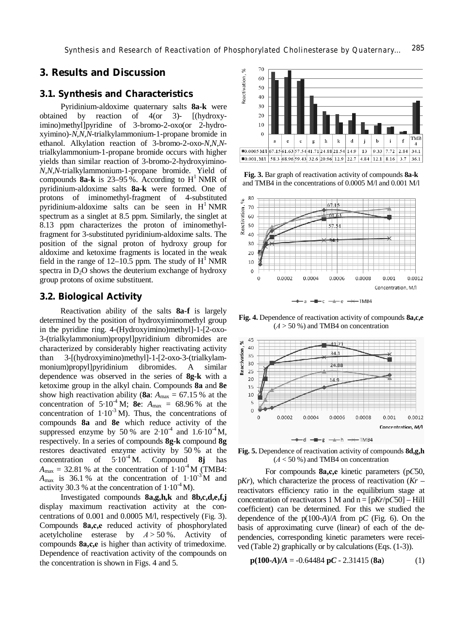# **3. Results and Discussion**

### **3.1. Synthesis and Characteristics**

Pyridinium-aldoxime quaternary salts **8a-k** were obtained by reaction of 4(or 3)- [(hydroxyimino)methyl]pyridine of 3-bromo-2-oxo(or 2-hydroxyimino)-*N,N,N*-trialkylammonium-1-propane bromide in ethanol. Alkylation reaction of 3-bromo-2-oxo-*N,N,N*trialkylammonium-1-propane bromide occurs with higher yields than similar reaction of 3-bromo-2-hydroxyimino-*N,N,N*-trialkylammonium-1-propane bromide. Yield of compounds  $8a-k$  is 23–95%. According to  $H<sup>1</sup> NMR$  of pyridinium-aldoxime salts **8a-k** were formed. One of protons of iminomethyl-fragment of 4-substituted pyridinium-aldoxime salts can be seen in  $H<sup>1</sup> NMR$ spectrum as a singlet at 8.5 ppm. Similarly, the singlet at 8.13 ppm characterizes the proton of iminomethylfragment for 3-substituted pyridinium-aldoxime salts. The position of the signal proton of hydroxy group for aldoxime and ketoxime fragments is located in the weak field in the range of  $12-10.5$  ppm. The study of  $H^1$  NMR spectra in  $D_2O$  shows the deuterium exchange of hydroxy group protons of oxime substituent.

### **3.2. Biological Activity**

Reactivation ability of the salts **8a-f** is largely determined by the position of hydroxyiminomethyl group in the pyridine ring. 4-(Hydroxyimino)methyl]-1-[2-oxo-3-(trialkylammonium)propyl]pyridinium dibromides are characterized by considerably higher reactivating activity than 3-[(hydroxyimino)methyl]-1-[2-oxo-3-(trialkylammonium)propyl]pyridinium dibromides. A similar dependence was observed in the series of **8g-k** with a ketoxime group in the alkyl chain. Compounds **8а** and **8e** show high reactivation ability (8a:  $A_{\text{max}} = 67.15$  % at the concentration of  $5 \cdot 10^{-4}$  M; **8e**:  $A_{\text{max}} = 68.96$  % at the concentration of  $1 \cdot 10^{-3}$  M). Thus, the concentrations of compounds **8a** and **8e** which reduce activity of the suppressed enzyme by 50 % are  $2·10^{-4}$  and  $1.6·10^{-4}$  M, respectively. In a series of compounds **8g-k** compound **8g** restores deactivated enzyme activity by 50 % at the concentration of  $5 \cdot 10^{-4}$  M. Compound 8j has concentration of 5∙10-4 M. Compound **8j** has  $A_{\text{max}} = 32.81$  % at the concentration of  $1 \cdot 10^{-4}$  M (TMB4:  $A_{\text{max}}$  is 36.1 % at the concentration of 1⋅10<sup>-3</sup> M and activity 30.3 % at the concentration of  $1 \cdot 10^{-4}$  M).

Investigated compounds **8a,g,h,k** and **8b,c,d,e,f,j** display maximum reactivation activity at the concentrations of 0.001 and 0.0005 М/l, respectively (Fig. 3). Compounds **8а,с,е** reduced activity of phosphorylated acetylcholine esterase by  $A > 50\%$ . Activity of compounds **8а,с,е** is higher than activity of trimedoxime. Dependence of reactivation activity of the compounds on the concentration is shown in Figs. 4 and 5.



**Fig. 3.** Bar graph of reactivation activity of compounds **8a-k** and TMB4 in the concentrations of 0.0005 M/l and 0.001 М/l



**Fig. 4.** Dependence of reactivation activity of compounds **8a,c,e**  $(A > 50\%)$  and TMB4 on concentration



**Fig. 5.** Dependence of reactivation activity of compounds **8d,g,h** (*А* < 50 %) and TMB4 on concentration

For compounds **8а,с,е** kinetic parameters (р*С*50, p*Kr*), which characterize the process of reactivation (*Kr* – reactivators efficiency ratio in the equilibrium stage at concentration of reactivators 1 М and n = [p*Kr*/р*С*50] – Hill coefficient) can be determined. For this we studied the dependence of the p(100-*A*)/*A* from p*C* (Fig. 6). On the basis of approximating curve (linear) of each of the dependencies, corresponding kinetic parameters were received (Table 2) graphically or by calculations (Eqs. (1-3)).

$$
p(100-A)/A = -0.64484 pC - 2.31415 (8a)
$$
 (1)